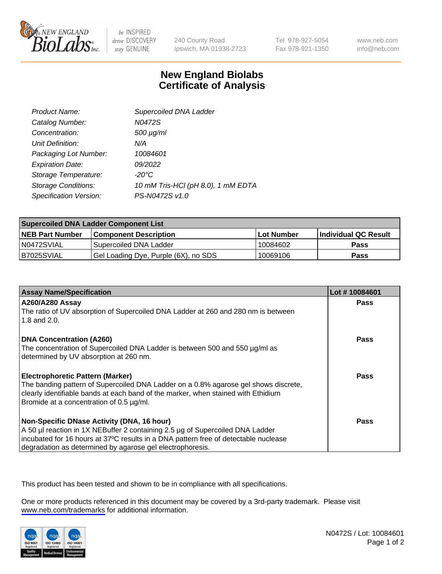

be INSPIRED drive DISCOVERY stay GENUINE

240 County Road Ipswich, MA 01938-2723 Tel 978-927-5054 Fax 978-921-1350

www.neb.com info@neb.com

## **New England Biolabs Certificate of Analysis**

| Product Name:              | Supercoiled DNA Ladder             |
|----------------------------|------------------------------------|
| Catalog Number:            | N0472S                             |
| Concentration:             | $500 \mu g/ml$                     |
| Unit Definition:           | N/A                                |
| Packaging Lot Number:      | 10084601                           |
| <b>Expiration Date:</b>    | 09/2022                            |
| Storage Temperature:       | -20°C                              |
| <b>Storage Conditions:</b> | 10 mM Tris-HCl (pH 8.0), 1 mM EDTA |
| Specification Version:     | PS-N0472S v1.0                     |

| <b>Supercoiled DNA Ladder Component List</b> |                                      |                   |                      |  |
|----------------------------------------------|--------------------------------------|-------------------|----------------------|--|
| <b>NEB Part Number</b>                       | <b>Component Description</b>         | <b>Lot Number</b> | Individual QC Result |  |
| N0472SVIAL                                   | Supercoiled DNA Ladder               | 10084602          | <b>Pass</b>          |  |
| B7025SVIAL                                   | Gel Loading Dye, Purple (6X), no SDS | 10069106          | <b>Pass</b>          |  |

| <b>Assay Name/Specification</b>                                                                                               | Lot #10084601 |
|-------------------------------------------------------------------------------------------------------------------------------|---------------|
| <b>A260/A280 Assay</b><br>The ratio of UV absorption of Supercoiled DNA Ladder at 260 and 280 nm is between                   | <b>Pass</b>   |
| 1.8 and $2.0$ .                                                                                                               |               |
| <b>DNA Concentration (A260)</b>                                                                                               | Pass          |
| The concentration of Supercoiled DNA Ladder is between 500 and 550 µg/ml as                                                   |               |
| determined by UV absorption at 260 nm.                                                                                        |               |
| <b>Electrophoretic Pattern (Marker)</b>                                                                                       | <b>Pass</b>   |
| The banding pattern of Supercoiled DNA Ladder on a 0.8% agarose gel shows discrete,                                           |               |
| clearly identifiable bands at each band of the marker, when stained with Ethidium<br>Bromide at a concentration of 0.5 µg/ml. |               |
|                                                                                                                               |               |
| Non-Specific DNase Activity (DNA, 16 hour)                                                                                    | Pass          |
| A 50 µl reaction in 1X NEBuffer 2 containing 2.5 µg of Supercoiled DNA Ladder                                                 |               |
| incubated for 16 hours at 37°C results in a DNA pattern free of detectable nuclease                                           |               |
| degradation as determined by agarose gel electrophoresis.                                                                     |               |

This product has been tested and shown to be in compliance with all specifications.

One or more products referenced in this document may be covered by a 3rd-party trademark. Please visit <www.neb.com/trademarks>for additional information.